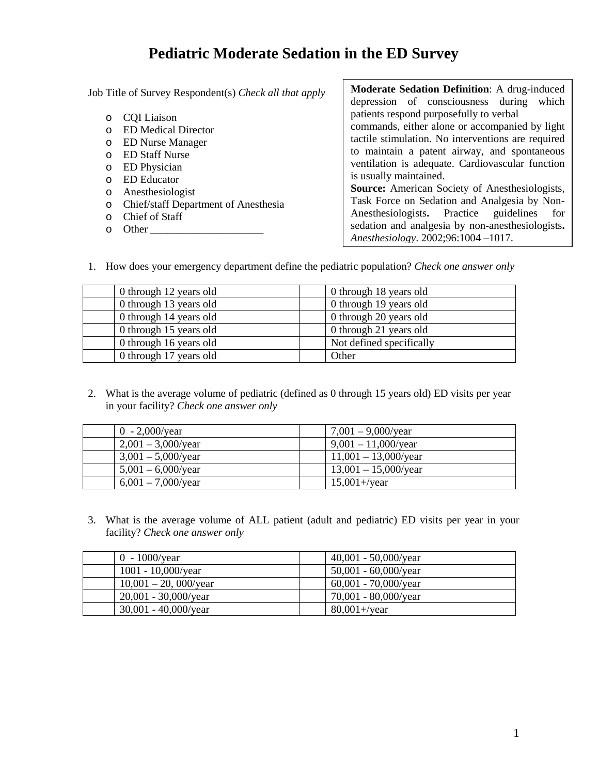# **Pediatric Moderate Sedation in the ED Survey**

Job Title of Survey Respondent(s) *Check all that apply*  o CQI Liaison o ED Medical Director o ED Nurse Manager o ED Staff Nurse o ED Physician o ED Educator o Anesthesiologist o Chief/staff Department of Anesthesia o Chief of Staff **Moderate Sedation Definition**: A drug-induced depression of consciousness during which patients respond purposefully to verbal is usually maintained.

o Other \_\_\_\_\_\_\_\_\_\_\_\_\_\_\_\_\_\_\_\_\_

commands, either alone or accompanied by light tactile stimulation. No interventions are required to maintain a patent airway, and spontaneous ventilation is adequate. Cardiovascular function **Source:** American Society of Anesthesiologists, Task Force on Sedation and Analgesia by Non-Anesthesiologists**.** Practice guidelines for sedation and analgesia by non-anesthesiologists**.**  *Anesthesiology*. 2002;96:1004 –1017.

1. How does your emergency department define the pediatric population? *Check one answer only*

| 0 through 12 years old | 0 through 18 years old   |
|------------------------|--------------------------|
| 0 through 13 years old | 0 through 19 years old   |
| 0 through 14 years old | 0 through 20 years old   |
| 0 through 15 years old | 0 through 21 years old   |
| 0 through 16 years old | Not defined specifically |
| 0 through 17 years old | Other                    |

2. What is the average volume of pediatric (defined as 0 through 15 years old) ED visits per year in your facility? *Check one answer only* 

| 0 - 2,000/year        | $7,001 - 9,000$ /year   |
|-----------------------|-------------------------|
| $2,001 - 3,000$ /year | $9,001 - 11,000$ /year  |
| $3,001 - 5,000$ /year | $11,001 - 13,000$ /year |
| $5,001 - 6,000$ /year | $13,001 - 15,000$ /year |
| $6,001 - 7,000$ /year | $15,001 +$ /year        |

3. What is the average volume of ALL patient (adult and pediatric) ED visits per year in your facility? *Check one answer only*

| $0 - 1000$ /year        | $40,001 - 50,000$ /year |
|-------------------------|-------------------------|
| $1001 - 10,000$ /year   | $50,001 - 60,000$ /year |
| $10,001 - 20,000$ /year | $60,001 - 70,000$ /year |
| $20,001 - 30,000$ /year | $70,001 - 80,000$ /year |
| $30,001 - 40,000$ /year | $80,001 +$ /year        |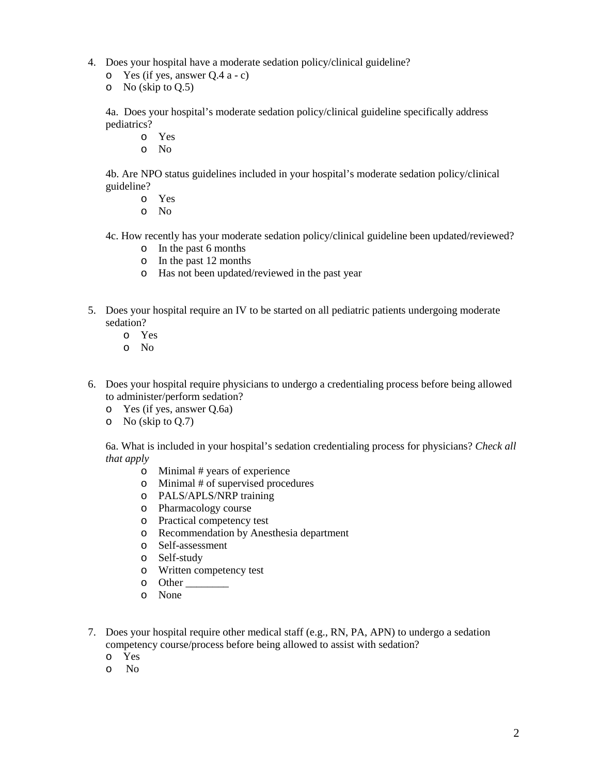- 4. Does your hospital have a moderate sedation policy/clinical guideline?
	- o Yes (if yes, answer Q.4 a c)
	- $\circ$  No (skip to Q.5)

4a. Does your hospital's moderate sedation policy/clinical guideline specifically address pediatrics?

- o Yes
- o No

4b. Are NPO status guidelines included in your hospital's moderate sedation policy/clinical guideline?

- o Yes
- o No

4c. How recently has your moderate sedation policy/clinical guideline been updated/reviewed?

- o In the past 6 months
- o In the past 12 months
- o Has not been updated/reviewed in the past year
- 5. Does your hospital require an IV to be started on all pediatric patients undergoing moderate sedation?
	- o Yes
	- o No
- 6. Does your hospital require physicians to undergo a credentialing process before being allowed to administer/perform sedation?
	- o Yes (if yes, answer Q.6a)
	- $\circ$  No (skip to Q.7)

6a. What is included in your hospital's sedation credentialing process for physicians? *Check all that apply*

- o Minimal # years of experience
- o Minimal # of supervised procedures
- o PALS/APLS/NRP training
- o Pharmacology course
- o Practical competency test
- o Recommendation by Anesthesia department
- o Self-assessment
- o Self-study
- o Written competency test
- o Other \_\_\_\_\_\_\_\_
- o None
- 7. Does your hospital require other medical staff (e.g., RN, PA, APN) to undergo a sedation competency course/process before being allowed to assist with sedation?
	- o Yes
	- o No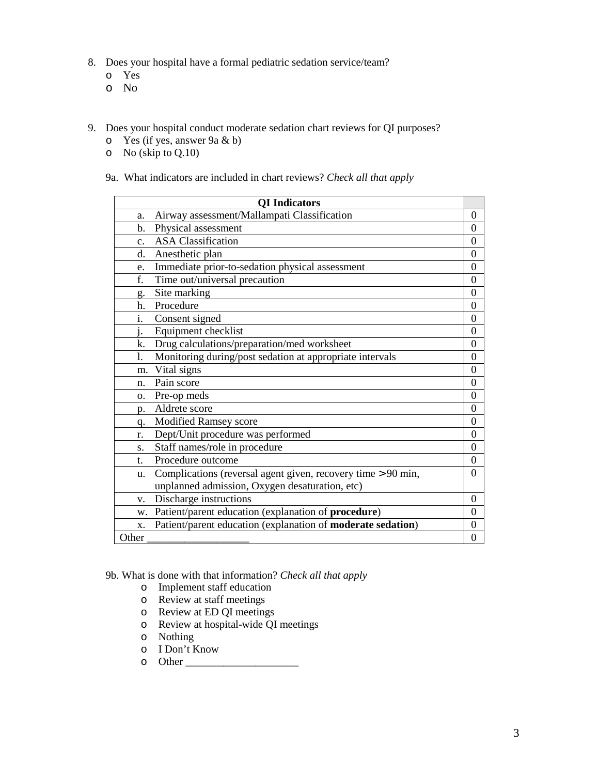- 8. Does your hospital have a formal pediatric sedation service/team?
	- o Yes
	- o No
- 9. Does your hospital conduct moderate sedation chart reviews for QI purposes?
	- o Yes (if yes, answer 9a & b)
	- o No (skip to Q.10)

#### 9a. What indicators are included in chart reviews? *Check all that apply*

|                | <b>QI</b> Indicators                                                |                  |
|----------------|---------------------------------------------------------------------|------------------|
| a.             | Airway assessment/Mallampati Classification                         | $\theta$         |
| $\mathbf{b}$ . | Physical assessment                                                 | $\theta$         |
| $\mathbf{c}$ . | <b>ASA Classification</b>                                           | $\Omega$         |
| d.             | Anesthetic plan                                                     | $\theta$         |
| e.             | Immediate prior-to-sedation physical assessment                     | $\overline{0}$   |
| f.             | Time out/universal precaution                                       | $\theta$         |
| g.             | Site marking                                                        | $\theta$         |
| h.             | Procedure                                                           | $\boldsymbol{0}$ |
| 1.             | Consent signed                                                      | $\overline{0}$   |
| i.             | Equipment checklist                                                 | $\Omega$         |
| k.             | Drug calculations/preparation/med worksheet                         | $\overline{0}$   |
| 1.             | Monitoring during/post sedation at appropriate intervals            | 0                |
| m.             | Vital signs                                                         | $\overline{0}$   |
| n.             | Pain score                                                          | $\theta$         |
| $\Omega$ .     | Pre-op meds                                                         | $\overline{0}$   |
| p.             | Aldrete score                                                       | $\boldsymbol{0}$ |
| q.             | Modified Ramsey score                                               | $\Omega$         |
| r.             | Dept/Unit procedure was performed                                   | $\theta$         |
| S.             | Staff names/role in procedure                                       | $\overline{0}$   |
| $t_{-}$        | Procedure outcome                                                   | $\overline{0}$   |
| u.             | Complications (reversal agent given, recovery time > 90 min,        | $\Omega$         |
|                | unplanned admission, Oxygen desaturation, etc)                      |                  |
| V.             | Discharge instructions                                              | $\theta$         |
| w.             | Patient/parent education (explanation of procedure)                 | $\overline{0}$   |
| X.             | Patient/parent education (explanation of <b>moderate sedation</b> ) | $\theta$         |
| Other          |                                                                     | $\theta$         |

9b. What is done with that information? *Check all that apply*

- o Implement staff education
- o Review at staff meetings
- o Review at ED QI meetings
- o Review at hospital-wide QI meetings
- o Nothing
- o I Don't Know
- o Other \_\_\_\_\_\_\_\_\_\_\_\_\_\_\_\_\_\_\_\_\_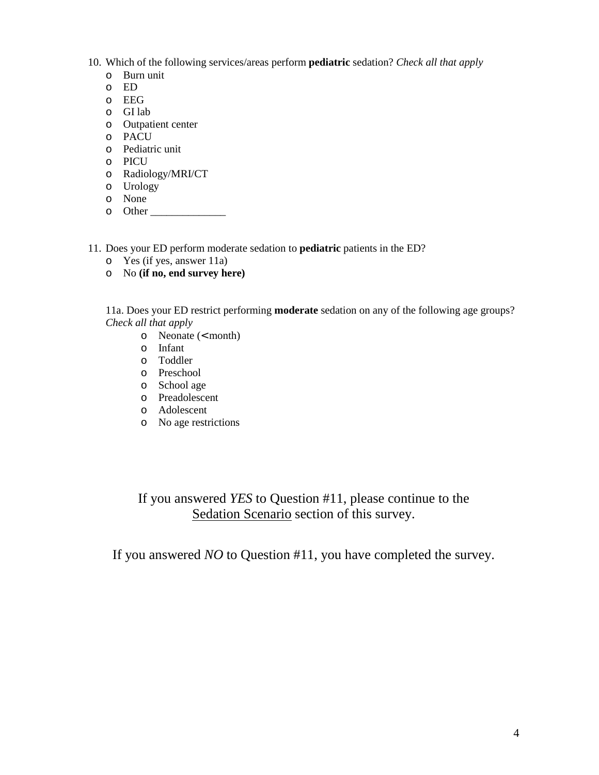- 10. Which of the following services/areas perform **pediatric** sedation? *Check all that apply*
	- o Burn unit
	- o ED
	- o EEG
	- o GI lab
	- o Outpatient center
	- o PACU
	- o Pediatric unit
	- o PICU
	- o Radiology/MRI/CT
	- o Urology
	- o None
	- o Other
- 11. Does your ED perform moderate sedation to **pediatric** patients in the ED?
	- o Yes (if yes, answer 11a)
	- o No **(if no, end survey here)**

11a. Does your ED restrict performing **moderate** sedation on any of the following age groups? *Check all that apply* 

- o Neonate (< month)
- o Infant
- o Toddler
- o Preschool
- o School age
- o Preadolescent
- o Adolescent
- o No age restrictions

If you answered *YES* to Question #11, please continue to the Sedation Scenario section of this survey.

If you answered *NO* to Question #11, you have completed the survey.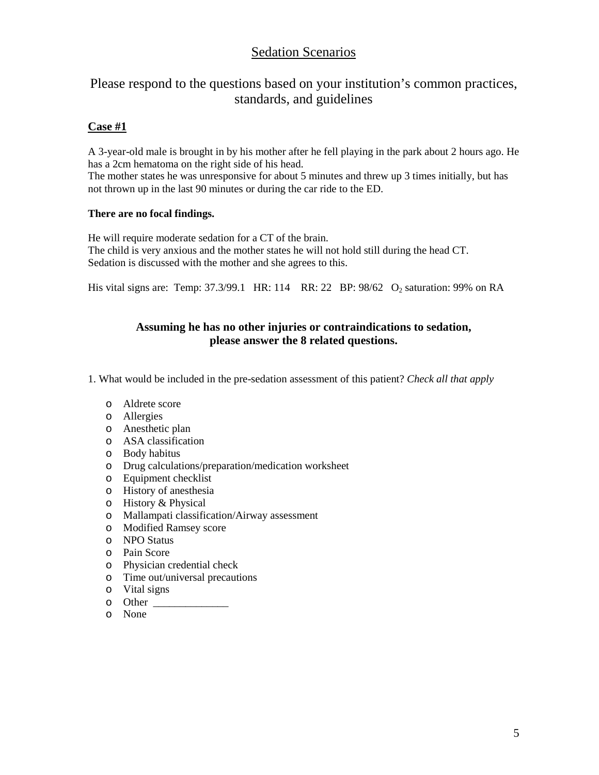# Sedation Scenarios

# Please respond to the questions based on your institution's common practices, standards, and guidelines

## **Case #1**

A 3-year-old male is brought in by his mother after he fell playing in the park about 2 hours ago. He has a 2cm hematoma on the right side of his head.

The mother states he was unresponsive for about 5 minutes and threw up 3 times initially, but has not thrown up in the last 90 minutes or during the car ride to the ED.

#### **There are no focal findings.**

He will require moderate sedation for a CT of the brain. The child is very anxious and the mother states he will not hold still during the head CT. Sedation is discussed with the mother and she agrees to this.

His vital signs are: Temp:  $37.3/99.1$  HR:  $114$  RR:  $22$  BP:  $98/62$  O<sub>2</sub> saturation:  $99\%$  on RA

#### **Assuming he has no other injuries or contraindications to sedation, please answer the 8 related questions.**

1. What would be included in the pre-sedation assessment of this patient? *Check all that apply* 

- o Aldrete score
- o Allergies
- o Anesthetic plan
- o ASA classification
- o Body habitus
- o Drug calculations/preparation/medication worksheet
- o Equipment checklist
- o History of anesthesia
- o History & Physical
- o Mallampati classification/Airway assessment
- o Modified Ramsey score
- o NPO Status
- o Pain Score
- o Physician credential check
- o Time out/universal precautions
- o Vital signs
- o Other \_\_\_\_\_\_\_\_\_\_\_\_\_\_
- o None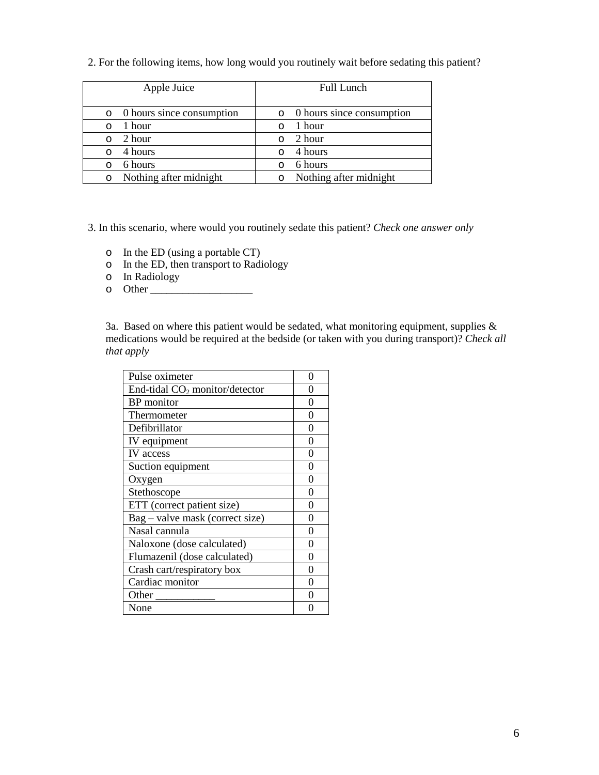2. For the following items, how long would you routinely wait before sedating this patient?

| Apple Juice                           | <b>Full Lunch</b>         |  |
|---------------------------------------|---------------------------|--|
| 0 hours since consumption<br>$\Omega$ | 0 hours since consumption |  |
| 1 hour                                | 1 hour                    |  |
| 2 hour                                | 2 hour                    |  |
| 4 hours                               | 4 hours                   |  |
| 6 hours                               | 6 hours                   |  |
| Nothing after midnight                | Nothing after midnight    |  |

3. In this scenario, where would you routinely sedate this patient? *Check one answer only* 

- o In the ED (using a portable CT)
- o In the ED, then transport to Radiology
- o In Radiology
- o Other \_\_\_\_\_\_\_\_\_\_\_\_\_\_\_\_\_\_\_

3a. Based on where this patient would be sedated, what monitoring equipment, supplies  $\&$ medications would be required at the bedside (or taken with you during transport)? *Check all that apply*

| Pulse oximeter                   | 0 |
|----------------------------------|---|
| End-tidal $CO2$ monitor/detector | 0 |
| <b>BP</b> monitor                | 0 |
| Thermometer                      | 0 |
| Defibrillator                    | 0 |
| IV equipment                     | 0 |
| IV access                        | 0 |
| Suction equipment                | 0 |
| Oxygen                           | 0 |
| Stethoscope                      | 0 |
| ETT (correct patient size)       | 0 |
| Bag – valve mask (correct size)  | 0 |
| Nasal cannula                    | 0 |
| Naloxone (dose calculated)       | ⋂ |
| Flumazenil (dose calculated)     | 0 |
| Crash cart/respiratory box       | 0 |
| Cardiac monitor                  | 0 |
| Other                            | 0 |
| None                             |   |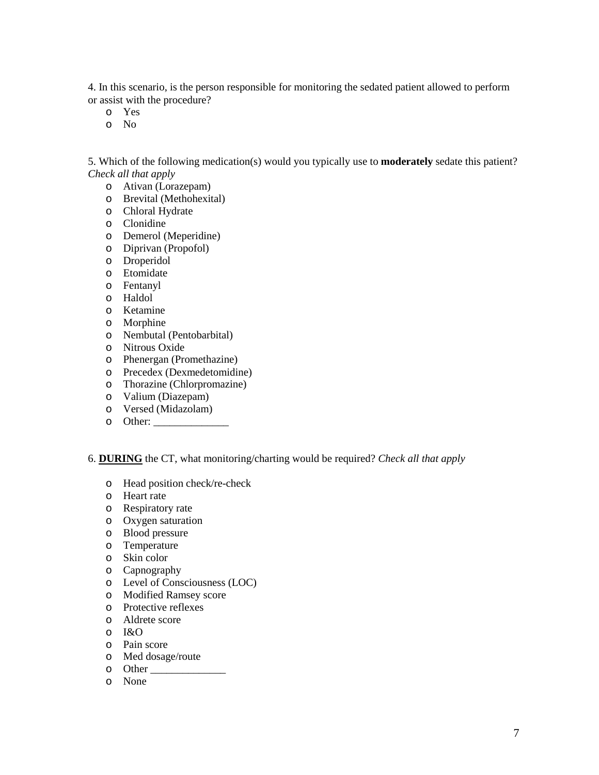4. In this scenario, is the person responsible for monitoring the sedated patient allowed to perform or assist with the procedure?

- o Yes
- o No

5. Which of the following medication(s) would you typically use to **moderately** sedate this patient? *Check all that apply*

- o Ativan (Lorazepam)
- o Brevital (Methohexital)
- o Chloral Hydrate
- o Clonidine
- o Demerol (Meperidine)
- o Diprivan (Propofol)
- o Droperidol
- o Etomidate
- o Fentanyl
- o Haldol
- o Ketamine
- o Morphine
- o Nembutal (Pentobarbital)
- o Nitrous Oxide
- o Phenergan (Promethazine)
- o Precedex (Dexmedetomidine)
- o Thorazine (Chlorpromazine)
- o Valium (Diazepam)
- o Versed (Midazolam)
- $\circ$  Other:

6. **DURING** the CT, what monitoring/charting would be required? *Check all that apply* 

- o Head position check/re-check
- o Heart rate
- o Respiratory rate
- o Oxygen saturation
- o Blood pressure
- o Temperature
- o Skin color
- o Capnography
- o Level of Consciousness (LOC)
- o Modified Ramsey score
- o Protective reflexes
- o Aldrete score
- o I&O
- o Pain score
- o Med dosage/route
- o Other \_\_\_\_\_\_\_\_\_\_\_\_\_\_
- o None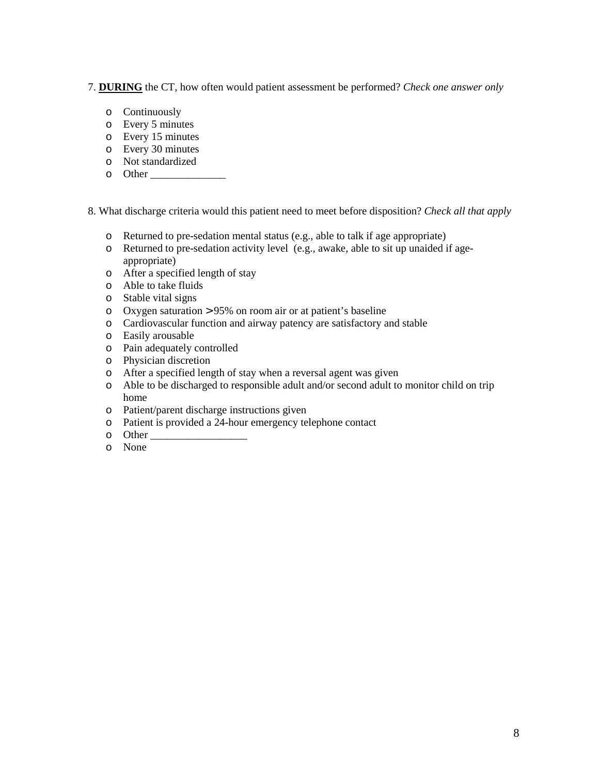7. **DURING** the CT, how often would patient assessment be performed? *Check one answer only* 

- o Continuously
- o Every 5 minutes
- o Every 15 minutes
- o Every 30 minutes
- o Not standardized
- o Other

8. What discharge criteria would this patient need to meet before disposition? *Check all that apply* 

- o Returned to pre-sedation mental status (e.g., able to talk if age appropriate)
- o Returned to pre-sedation activity level (e.g., awake, able to sit up unaided if ageappropriate)
- o After a specified length of stay
- o Able to take fluids
- o Stable vital signs
- o Oxygen saturation > 95% on room air or at patient's baseline
- o Cardiovascular function and airway patency are satisfactory and stable
- o Easily arousable
- o Pain adequately controlled
- o Physician discretion
- o After a specified length of stay when a reversal agent was given
- o Able to be discharged to responsible adult and/or second adult to monitor child on trip home
- o Patient/parent discharge instructions given
- o Patient is provided a 24-hour emergency telephone contact
- o Other \_\_\_\_\_\_\_\_\_\_\_\_\_\_\_\_\_\_
- o None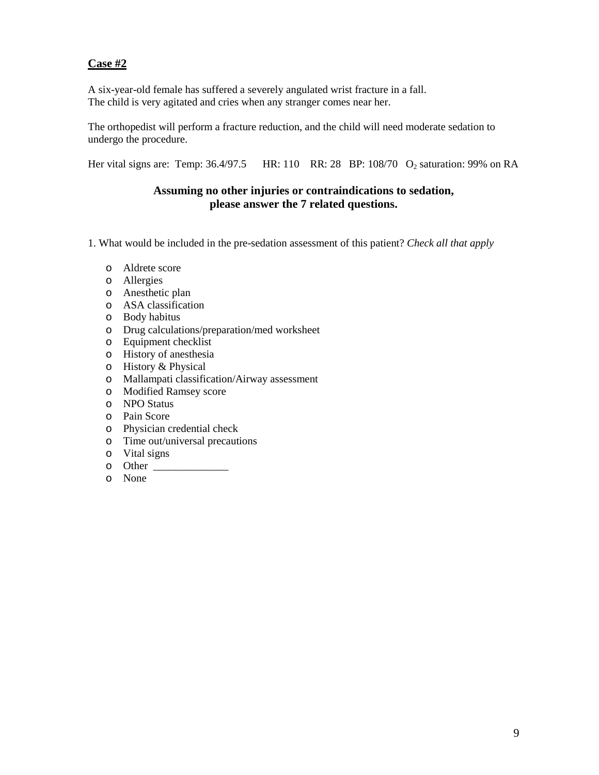## **Case #2**

A six-year-old female has suffered a severely angulated wrist fracture in a fall. The child is very agitated and cries when any stranger comes near her.

The orthopedist will perform a fracture reduction, and the child will need moderate sedation to undergo the procedure.

Her vital signs are: Temp: 36.4/97.5 HR: 110 RR: 28 BP: 108/70 O<sub>2</sub> saturation: 99% on RA

#### **Assuming no other injuries or contraindications to sedation, please answer the 7 related questions.**

- 1. What would be included in the pre-sedation assessment of this patient? *Check all that apply* 
	- o Aldrete score
	- o Allergies
	- o Anesthetic plan
	- o ASA classification
	- o Body habitus
	- o Drug calculations/preparation/med worksheet
	- o Equipment checklist
	- o History of anesthesia
	- o History & Physical
	- o Mallampati classification/Airway assessment
	- o Modified Ramsey score
	- o NPO Status
	- o Pain Score
	- o Physician credential check
	- o Time out/universal precautions
	- o Vital signs
	- o Other \_\_\_\_\_\_\_\_\_\_\_\_\_\_
	- o None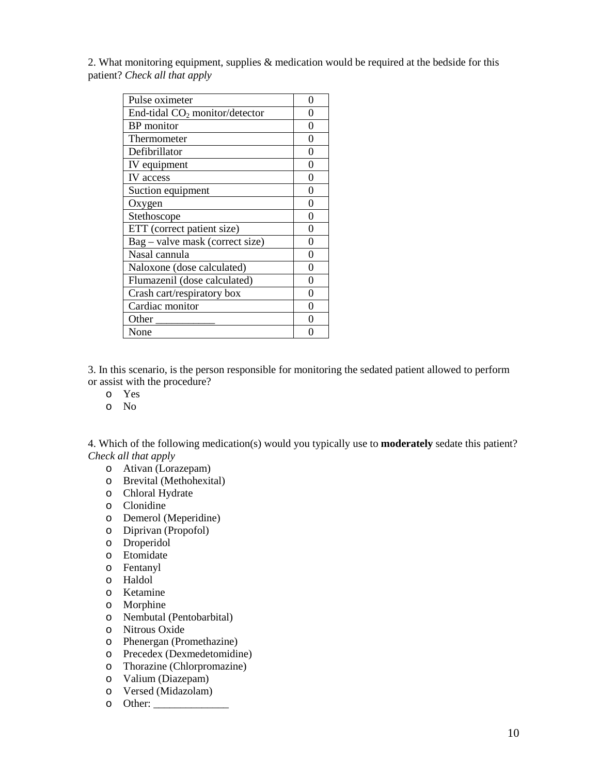2. What monitoring equipment, supplies  $\&$  medication would be required at the bedside for this patient? *Check all that apply*

| Pulse oximeter                   | 0 |
|----------------------------------|---|
| End-tidal $CO2$ monitor/detector | 0 |
| <b>BP</b> monitor                | 0 |
| Thermometer                      | 0 |
| Defibrillator                    | 0 |
| IV equipment                     | 0 |
| IV access                        | 0 |
| Suction equipment                | 0 |
| Oxygen                           | 0 |
| Stethoscope                      | 0 |
| ETT (correct patient size)       | 0 |
| Bag - valve mask (correct size)  | 0 |
| Nasal cannula                    | 0 |
| Naloxone (dose calculated)       | 0 |
| Flumazenil (dose calculated)     | 0 |
| Crash cart/respiratory box       | 0 |
| Cardiac monitor                  | ∩ |
| Other                            | 0 |
| None                             |   |

3. In this scenario, is the person responsible for monitoring the sedated patient allowed to perform or assist with the procedure?

- o Yes
- o No

4. Which of the following medication(s) would you typically use to **moderately** sedate this patient? *Check all that apply*

- o Ativan (Lorazepam)
- o Brevital (Methohexital)
- o Chloral Hydrate
- o Clonidine
- o Demerol (Meperidine)
- o Diprivan (Propofol)
- o Droperidol
- o Etomidate
- o Fentanyl
- o Haldol
- o Ketamine
- o Morphine
- o Nembutal (Pentobarbital)
- o Nitrous Oxide
- o Phenergan (Promethazine)
- o Precedex (Dexmedetomidine)
- o Thorazine (Chlorpromazine)
- o Valium (Diazepam)
- o Versed (Midazolam)
- o Other: \_\_\_\_\_\_\_\_\_\_\_\_\_\_